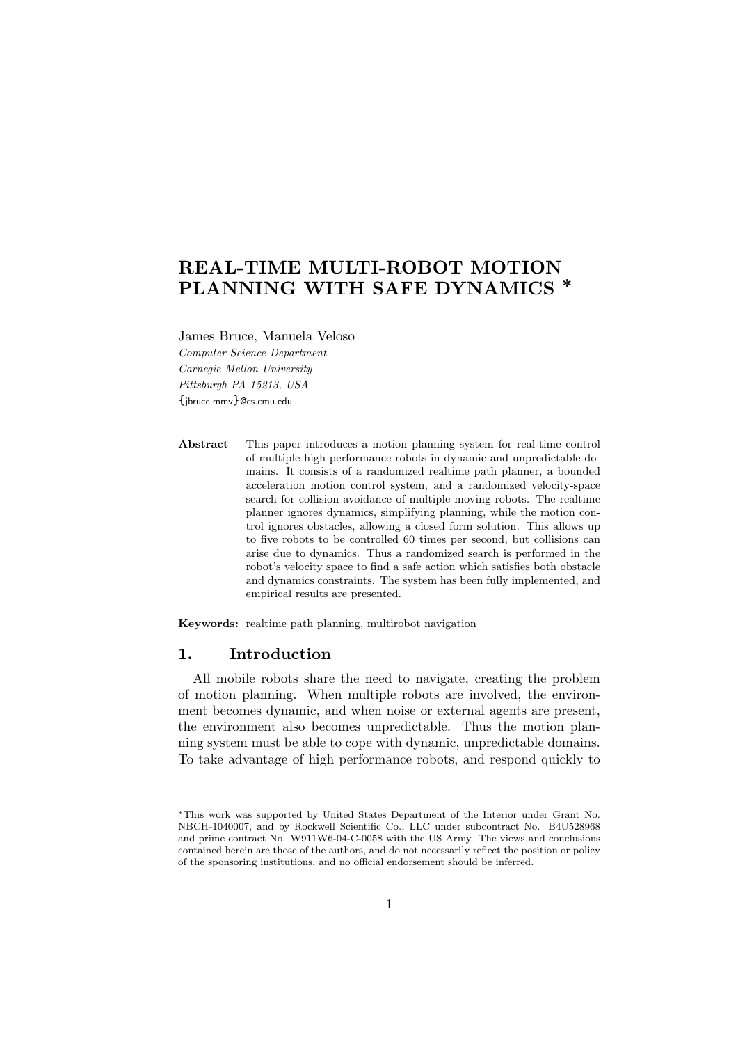# REAL-TIME MULTI-ROBOT MOTION PLANNING WITH SAFE DYNAMICS <sup>∗</sup>

James Bruce, Manuela Veloso Computer Science Department Carnegie Mellon University Pittsburgh PA 15213, USA {jbruce,mmv}@cs.cmu.edu

Abstract This paper introduces a motion planning system for real-time control of multiple high performance robots in dynamic and unpredictable domains. It consists of a randomized realtime path planner, a bounded acceleration motion control system, and a randomized velocity-space search for collision avoidance of multiple moving robots. The realtime planner ignores dynamics, simplifying planning, while the motion control ignores obstacles, allowing a closed form solution. This allows up to five robots to be controlled 60 times per second, but collisions can arise due to dynamics. Thus a randomized search is performed in the robot's velocity space to find a safe action which satisfies both obstacle and dynamics constraints. The system has been fully implemented, and empirical results are presented.

Keywords: realtime path planning, multirobot navigation

# 1. Introduction

All mobile robots share the need to navigate, creating the problem of motion planning. When multiple robots are involved, the environment becomes dynamic, and when noise or external agents are present, the environment also becomes unpredictable. Thus the motion planning system must be able to cope with dynamic, unpredictable domains. To take advantage of high performance robots, and respond quickly to

<sup>∗</sup>This work was supported by United States Department of the Interior under Grant No. NBCH-1040007, and by Rockwell Scientific Co., LLC under subcontract No. B4U528968 and prime contract No. W911W6-04-C-0058 with the US Army. The views and conclusions contained herein are those of the authors, and do not necessarily reflect the position or policy of the sponsoring institutions, and no official endorsement should be inferred.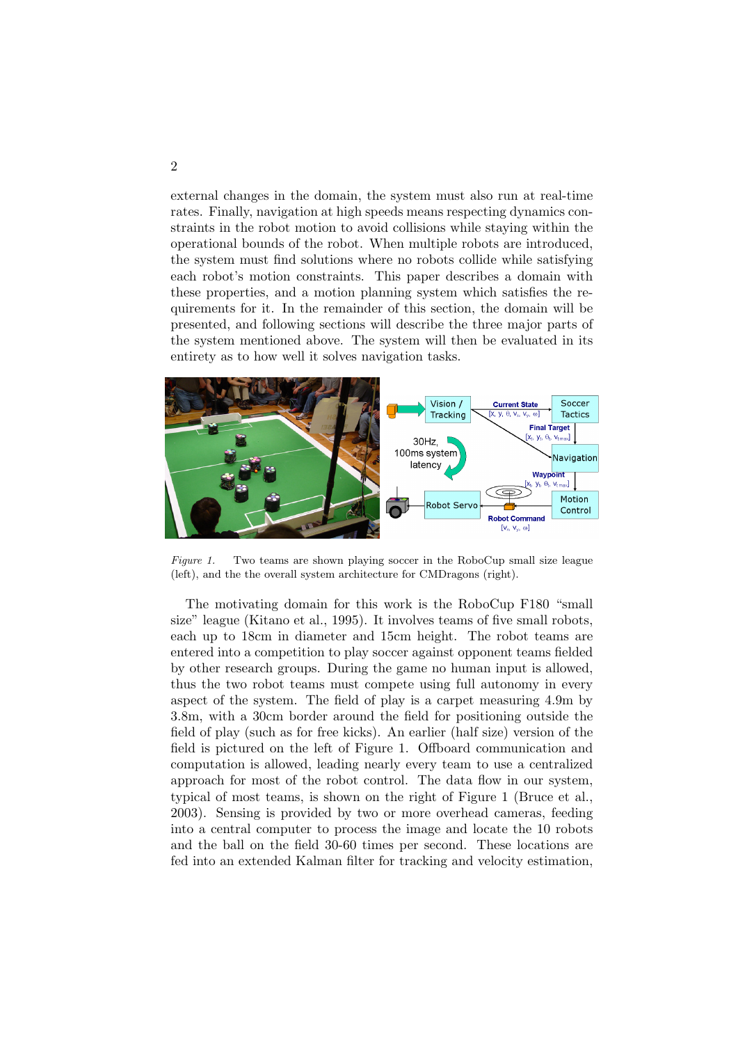external changes in the domain, the system must also run at real-time rates. Finally, navigation at high speeds means respecting dynamics constraints in the robot motion to avoid collisions while staying within the operational bounds of the robot. When multiple robots are introduced, the system must find solutions where no robots collide while satisfying each robot's motion constraints. This paper describes a domain with these properties, and a motion planning system which satisfies the requirements for it. In the remainder of this section, the domain will be presented, and following sections will describe the three major parts of the system mentioned above. The system will then be evaluated in its entirety as to how well it solves navigation tasks.



Figure 1. Two teams are shown playing soccer in the RoboCup small size league (left), and the the overall system architecture for CMDragons (right).

The motivating domain for this work is the RoboCup F180 "small size" league (Kitano et al., 1995). It involves teams of five small robots, each up to 18cm in diameter and 15cm height. The robot teams are entered into a competition to play soccer against opponent teams fielded by other research groups. During the game no human input is allowed, thus the two robot teams must compete using full autonomy in every aspect of the system. The field of play is a carpet measuring 4.9m by 3.8m, with a 30cm border around the field for positioning outside the field of play (such as for free kicks). An earlier (half size) version of the field is pictured on the left of Figure 1. Offboard communication and computation is allowed, leading nearly every team to use a centralized approach for most of the robot control. The data flow in our system, typical of most teams, is shown on the right of Figure 1 (Bruce et al., 2003). Sensing is provided by two or more overhead cameras, feeding into a central computer to process the image and locate the 10 robots and the ball on the field 30-60 times per second. These locations are fed into an extended Kalman filter for tracking and velocity estimation,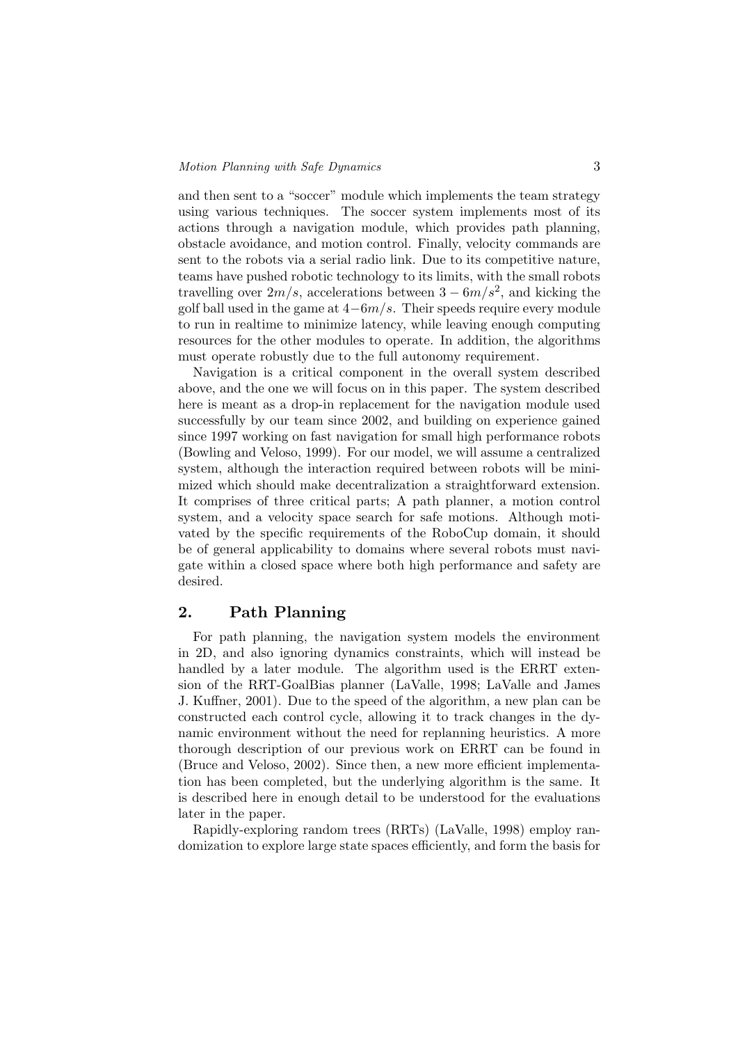and then sent to a "soccer" module which implements the team strategy using various techniques. The soccer system implements most of its actions through a navigation module, which provides path planning, obstacle avoidance, and motion control. Finally, velocity commands are sent to the robots via a serial radio link. Due to its competitive nature, teams have pushed robotic technology to its limits, with the small robots travelling over  $2m/s$ , accelerations between  $3 - 6m/s^2$ , and kicking the golf ball used in the game at  $4-6m/s$ . Their speeds require every module to run in realtime to minimize latency, while leaving enough computing resources for the other modules to operate. In addition, the algorithms must operate robustly due to the full autonomy requirement.

Navigation is a critical component in the overall system described above, and the one we will focus on in this paper. The system described here is meant as a drop-in replacement for the navigation module used successfully by our team since 2002, and building on experience gained since 1997 working on fast navigation for small high performance robots (Bowling and Veloso, 1999). For our model, we will assume a centralized system, although the interaction required between robots will be minimized which should make decentralization a straightforward extension. It comprises of three critical parts; A path planner, a motion control system, and a velocity space search for safe motions. Although motivated by the specific requirements of the RoboCup domain, it should be of general applicability to domains where several robots must navigate within a closed space where both high performance and safety are desired.

#### 2. Path Planning

For path planning, the navigation system models the environment in 2D, and also ignoring dynamics constraints, which will instead be handled by a later module. The algorithm used is the ERRT extension of the RRT-GoalBias planner (LaValle, 1998; LaValle and James J. Kuffner, 2001). Due to the speed of the algorithm, a new plan can be constructed each control cycle, allowing it to track changes in the dynamic environment without the need for replanning heuristics. A more thorough description of our previous work on ERRT can be found in (Bruce and Veloso, 2002). Since then, a new more efficient implementation has been completed, but the underlying algorithm is the same. It is described here in enough detail to be understood for the evaluations later in the paper.

Rapidly-exploring random trees (RRTs) (LaValle, 1998) employ randomization to explore large state spaces efficiently, and form the basis for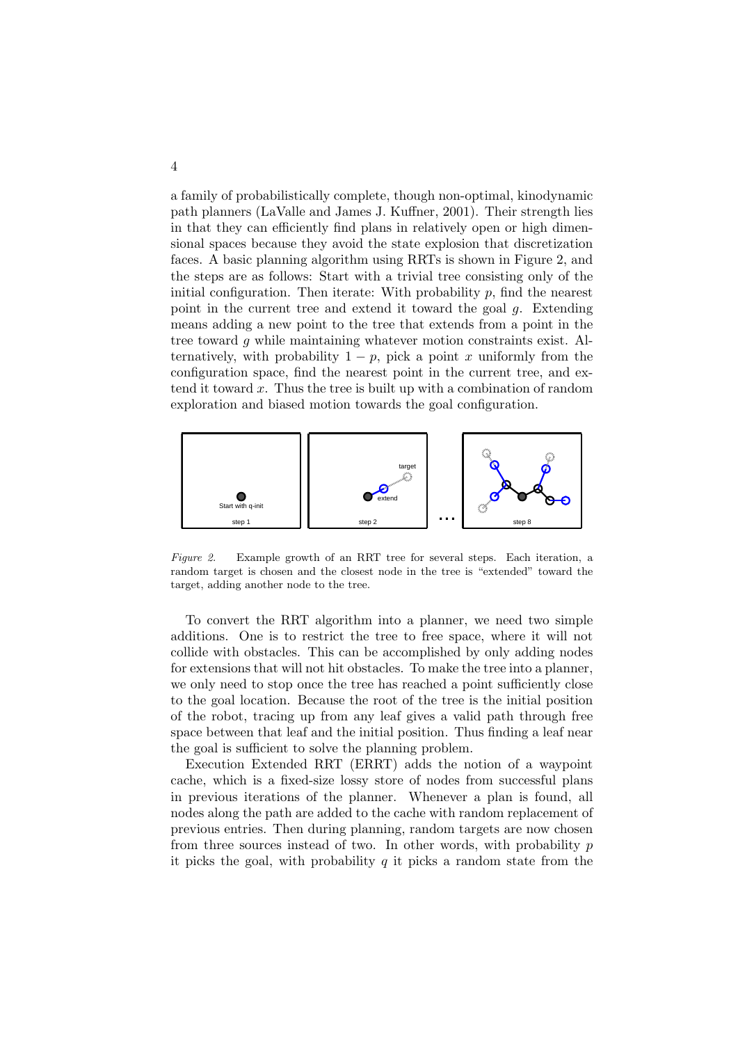a family of probabilistically complete, though non-optimal, kinodynamic path planners (LaValle and James J. Kuffner, 2001). Their strength lies in that they can efficiently find plans in relatively open or high dimensional spaces because they avoid the state explosion that discretization faces. A basic planning algorithm using RRTs is shown in Figure 2, and the steps are as follows: Start with a trivial tree consisting only of the initial configuration. Then iterate: With probability  $p$ , find the nearest point in the current tree and extend it toward the goal g. Extending means adding a new point to the tree that extends from a point in the tree toward g while maintaining whatever motion constraints exist. Alternatively, with probability  $1 - p$ , pick a point x uniformly from the configuration space, find the nearest point in the current tree, and extend it toward x. Thus the tree is built up with a combination of random exploration and biased motion towards the goal configuration.



Figure 2. Example growth of an RRT tree for several steps. Each iteration, a random target is chosen and the closest node in the tree is "extended" toward the target, adding another node to the tree.

To convert the RRT algorithm into a planner, we need two simple additions. One is to restrict the tree to free space, where it will not collide with obstacles. This can be accomplished by only adding nodes for extensions that will not hit obstacles. To make the tree into a planner, we only need to stop once the tree has reached a point sufficiently close to the goal location. Because the root of the tree is the initial position of the robot, tracing up from any leaf gives a valid path through free space between that leaf and the initial position. Thus finding a leaf near the goal is sufficient to solve the planning problem.

Execution Extended RRT (ERRT) adds the notion of a waypoint cache, which is a fixed-size lossy store of nodes from successful plans in previous iterations of the planner. Whenever a plan is found, all nodes along the path are added to the cache with random replacement of previous entries. Then during planning, random targets are now chosen from three sources instead of two. In other words, with probability p it picks the goal, with probability  $q$  it picks a random state from the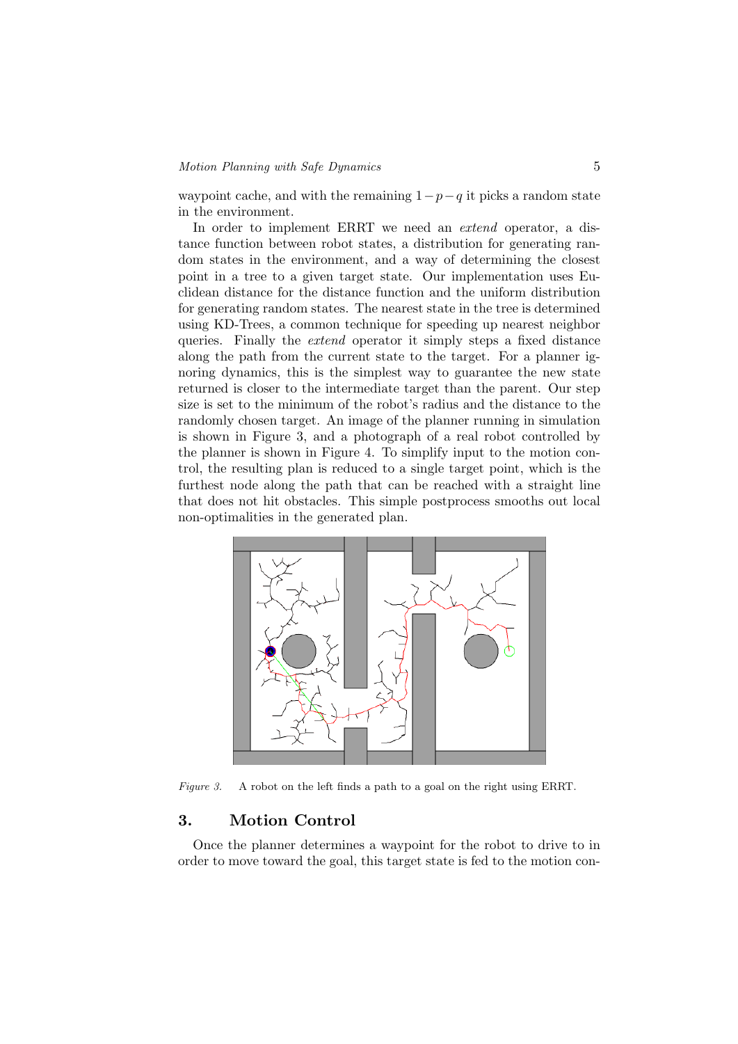waypoint cache, and with the remaining  $1-p-q$  it picks a random state in the environment.

In order to implement ERRT we need an *extend* operator, a distance function between robot states, a distribution for generating random states in the environment, and a way of determining the closest point in a tree to a given target state. Our implementation uses Euclidean distance for the distance function and the uniform distribution for generating random states. The nearest state in the tree is determined using KD-Trees, a common technique for speeding up nearest neighbor queries. Finally the extend operator it simply steps a fixed distance along the path from the current state to the target. For a planner ignoring dynamics, this is the simplest way to guarantee the new state returned is closer to the intermediate target than the parent. Our step size is set to the minimum of the robot's radius and the distance to the randomly chosen target. An image of the planner running in simulation is shown in Figure 3, and a photograph of a real robot controlled by the planner is shown in Figure 4. To simplify input to the motion control, the resulting plan is reduced to a single target point, which is the furthest node along the path that can be reached with a straight line that does not hit obstacles. This simple postprocess smooths out local non-optimalities in the generated plan.



Figure 3. A robot on the left finds a path to a goal on the right using ERRT.

### 3. Motion Control

Once the planner determines a waypoint for the robot to drive to in order to move toward the goal, this target state is fed to the motion con-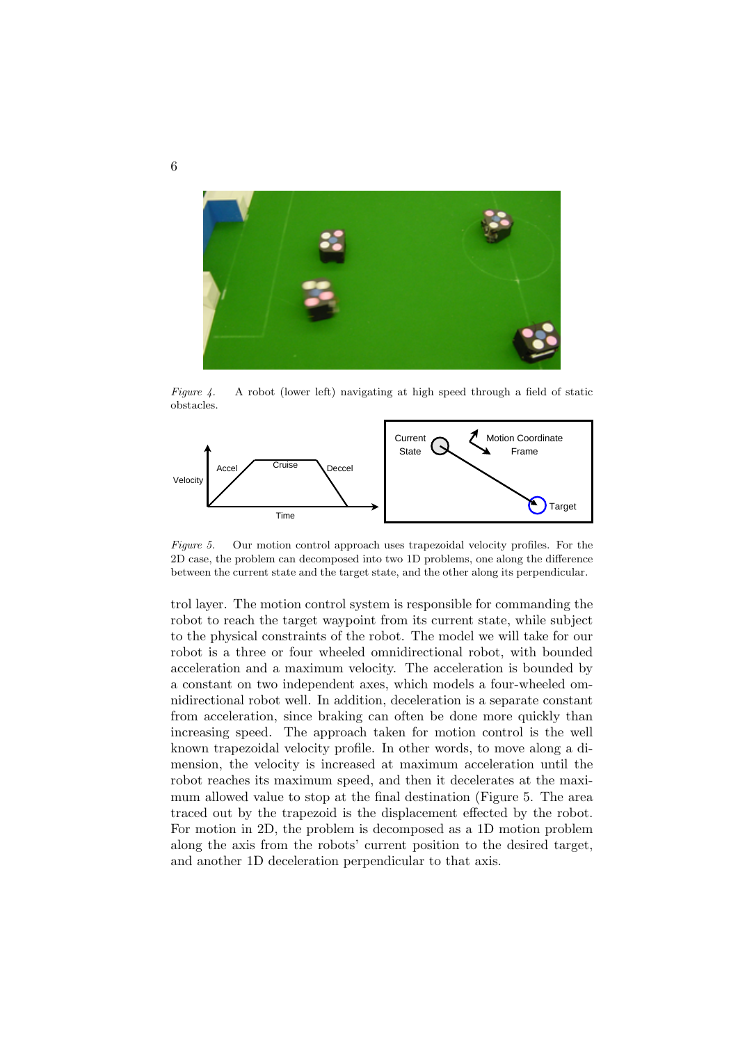

Figure 4. A robot (lower left) navigating at high speed through a field of static obstacles.



Figure 5. Our motion control approach uses trapezoidal velocity profiles. For the 2D case, the problem can decomposed into two 1D problems, one along the difference between the current state and the target state, and the other along its perpendicular.

trol layer. The motion control system is responsible for commanding the robot to reach the target waypoint from its current state, while subject to the physical constraints of the robot. The model we will take for our robot is a three or four wheeled omnidirectional robot, with bounded acceleration and a maximum velocity. The acceleration is bounded by a constant on two independent axes, which models a four-wheeled omnidirectional robot well. In addition, deceleration is a separate constant from acceleration, since braking can often be done more quickly than increasing speed. The approach taken for motion control is the well known trapezoidal velocity profile. In other words, to move along a dimension, the velocity is increased at maximum acceleration until the robot reaches its maximum speed, and then it decelerates at the maximum allowed value to stop at the final destination (Figure 5. The area traced out by the trapezoid is the displacement effected by the robot. For motion in 2D, the problem is decomposed as a 1D motion problem along the axis from the robots' current position to the desired target, and another 1D deceleration perpendicular to that axis.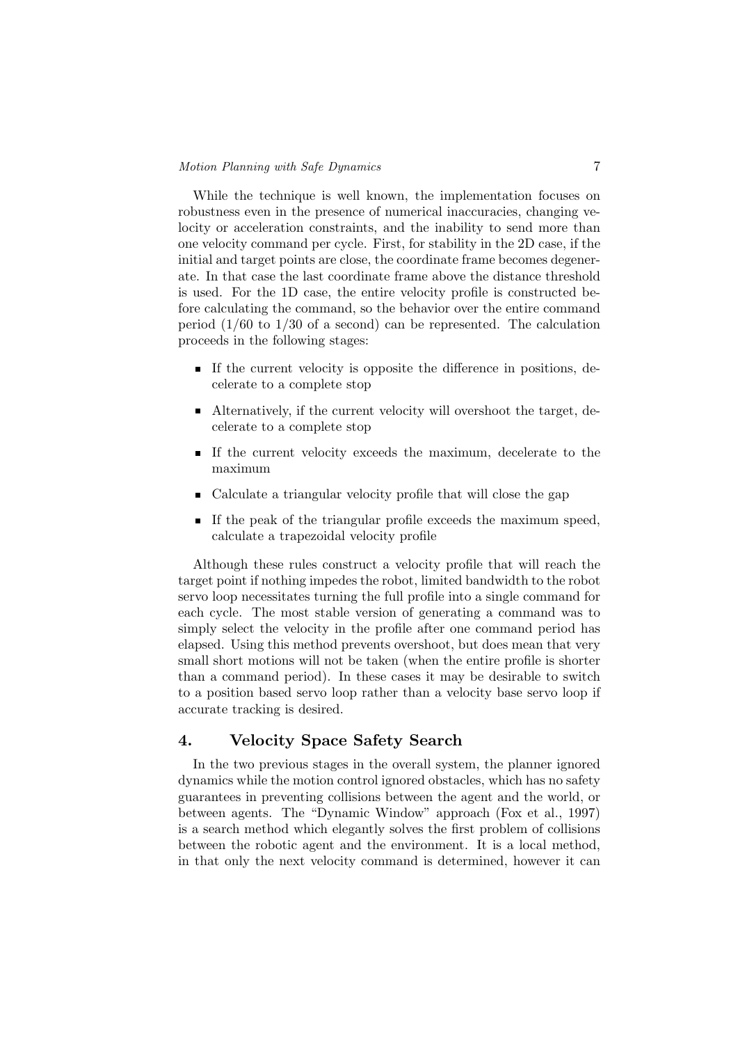While the technique is well known, the implementation focuses on robustness even in the presence of numerical inaccuracies, changing velocity or acceleration constraints, and the inability to send more than one velocity command per cycle. First, for stability in the 2D case, if the initial and target points are close, the coordinate frame becomes degenerate. In that case the last coordinate frame above the distance threshold is used. For the 1D case, the entire velocity profile is constructed before calculating the command, so the behavior over the entire command period  $(1/60 \text{ to } 1/30 \text{ of a second})$  can be represented. The calculation proceeds in the following stages:

- If the current velocity is opposite the difference in positions, decelerate to a complete stop
- Alternatively, if the current velocity will overshoot the target, decelerate to a complete stop
- If the current velocity exceeds the maximum, decelerate to the maximum
- Calculate a triangular velocity profile that will close the gap
- If the peak of the triangular profile exceeds the maximum speed, calculate a trapezoidal velocity profile

Although these rules construct a velocity profile that will reach the target point if nothing impedes the robot, limited bandwidth to the robot servo loop necessitates turning the full profile into a single command for each cycle. The most stable version of generating a command was to simply select the velocity in the profile after one command period has elapsed. Using this method prevents overshoot, but does mean that very small short motions will not be taken (when the entire profile is shorter than a command period). In these cases it may be desirable to switch to a position based servo loop rather than a velocity base servo loop if accurate tracking is desired.

### 4. Velocity Space Safety Search

In the two previous stages in the overall system, the planner ignored dynamics while the motion control ignored obstacles, which has no safety guarantees in preventing collisions between the agent and the world, or between agents. The "Dynamic Window" approach (Fox et al., 1997) is a search method which elegantly solves the first problem of collisions between the robotic agent and the environment. It is a local method, in that only the next velocity command is determined, however it can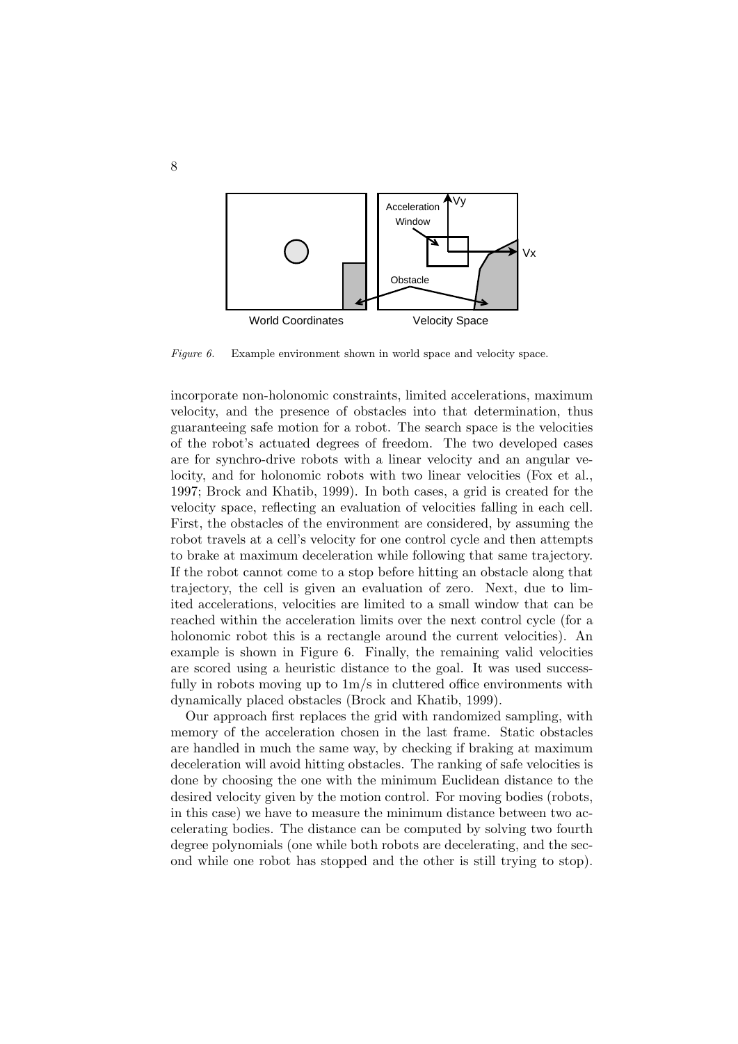

Figure 6. Example environment shown in world space and velocity space.

incorporate non-holonomic constraints, limited accelerations, maximum velocity, and the presence of obstacles into that determination, thus guaranteeing safe motion for a robot. The search space is the velocities of the robot's actuated degrees of freedom. The two developed cases are for synchro-drive robots with a linear velocity and an angular velocity, and for holonomic robots with two linear velocities (Fox et al., 1997; Brock and Khatib, 1999). In both cases, a grid is created for the velocity space, reflecting an evaluation of velocities falling in each cell. First, the obstacles of the environment are considered, by assuming the robot travels at a cell's velocity for one control cycle and then attempts to brake at maximum deceleration while following that same trajectory. If the robot cannot come to a stop before hitting an obstacle along that trajectory, the cell is given an evaluation of zero. Next, due to limited accelerations, velocities are limited to a small window that can be reached within the acceleration limits over the next control cycle (for a holonomic robot this is a rectangle around the current velocities). An example is shown in Figure 6. Finally, the remaining valid velocities are scored using a heuristic distance to the goal. It was used successfully in robots moving up to  $1m/s$  in cluttered office environments with dynamically placed obstacles (Brock and Khatib, 1999).

Our approach first replaces the grid with randomized sampling, with memory of the acceleration chosen in the last frame. Static obstacles are handled in much the same way, by checking if braking at maximum deceleration will avoid hitting obstacles. The ranking of safe velocities is done by choosing the one with the minimum Euclidean distance to the desired velocity given by the motion control. For moving bodies (robots, in this case) we have to measure the minimum distance between two accelerating bodies. The distance can be computed by solving two fourth degree polynomials (one while both robots are decelerating, and the second while one robot has stopped and the other is still trying to stop).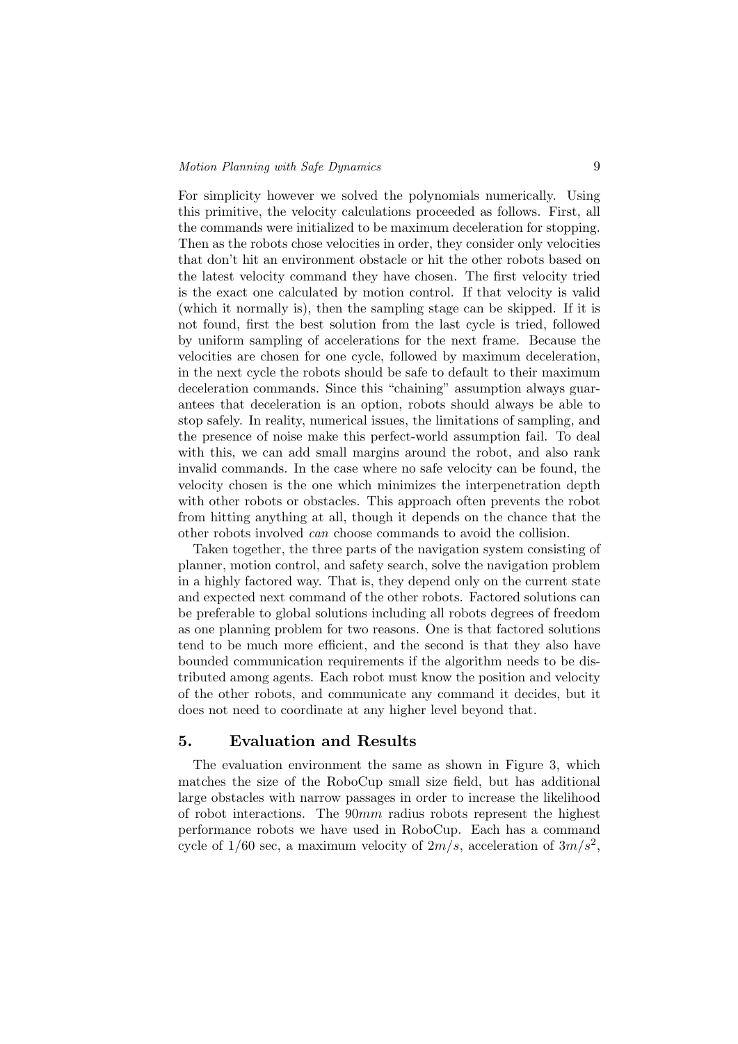For simplicity however we solved the polynomials numerically. Using this primitive, the velocity calculations proceeded as follows. First, all the commands were initialized to be maximum deceleration for stopping. Then as the robots chose velocities in order, they consider only velocities that don't hit an environment obstacle or hit the other robots based on the latest velocity command they have chosen. The first velocity tried is the exact one calculated by motion control. If that velocity is valid (which it normally is), then the sampling stage can be skipped. If it is not found, first the best solution from the last cycle is tried, followed by uniform sampling of accelerations for the next frame. Because the velocities are chosen for one cycle, followed by maximum deceleration, in the next cycle the robots should be safe to default to their maximum deceleration commands. Since this "chaining" assumption always guarantees that deceleration is an option, robots should always be able to stop safely. In reality, numerical issues, the limitations of sampling, and the presence of noise make this perfect-world assumption fail. To deal with this, we can add small margins around the robot, and also rank invalid commands. In the case where no safe velocity can be found, the velocity chosen is the one which minimizes the interpenetration depth with other robots or obstacles. This approach often prevents the robot from hitting anything at all, though it depends on the chance that the other robots involved can choose commands to avoid the collision.

Taken together, the three parts of the navigation system consisting of planner, motion control, and safety search, solve the navigation problem in a highly factored way. That is, they depend only on the current state and expected next command of the other robots. Factored solutions can be preferable to global solutions including all robots degrees of freedom as one planning problem for two reasons. One is that factored solutions tend to be much more efficient, and the second is that they also have bounded communication requirements if the algorithm needs to be distributed among agents. Each robot must know the position and velocity of the other robots, and communicate any command it decides, but it does not need to coordinate at any higher level beyond that.

#### 5. Evaluation and Results

The evaluation environment the same as shown in Figure 3, which matches the size of the RoboCup small size field, but has additional large obstacles with narrow passages in order to increase the likelihood of robot interactions. The 90mm radius robots represent the highest performance robots we have used in RoboCup. Each has a command cycle of  $1/60$  sec, a maximum velocity of  $2m/s$ , acceleration of  $3m/s^2$ ,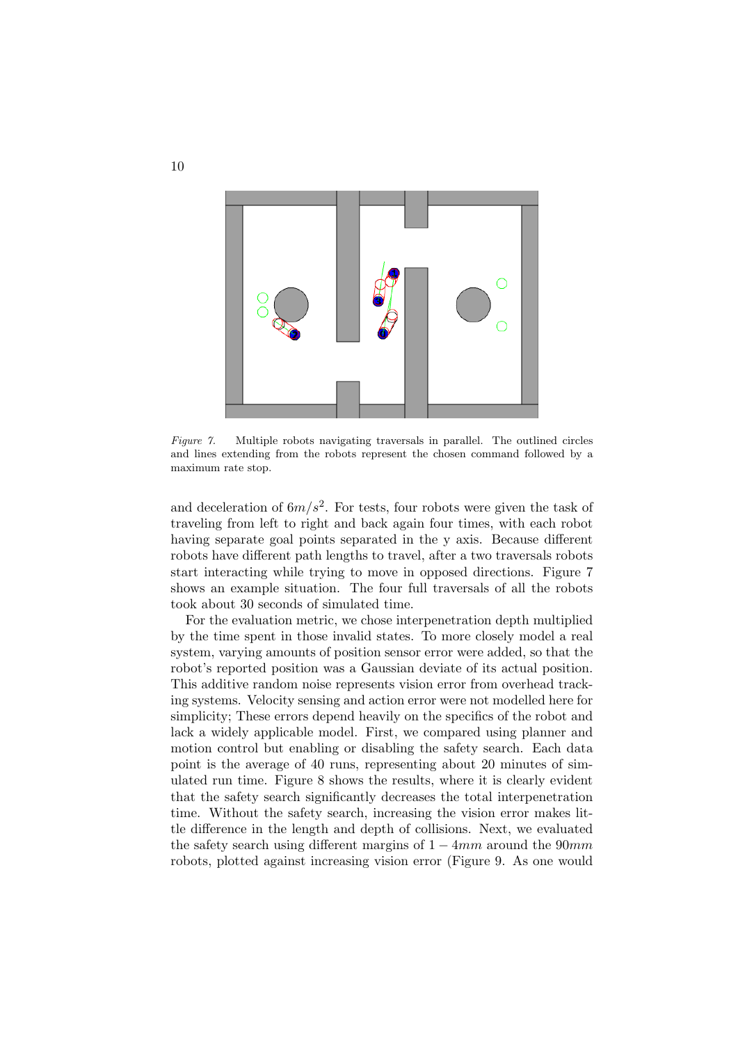

Figure 7. Multiple robots navigating traversals in parallel. The outlined circles and lines extending from the robots represent the chosen command followed by a maximum rate stop.

and deceleration of  $6m/s^2$ . For tests, four robots were given the task of traveling from left to right and back again four times, with each robot having separate goal points separated in the y axis. Because different robots have different path lengths to travel, after a two traversals robots start interacting while trying to move in opposed directions. Figure 7 shows an example situation. The four full traversals of all the robots took about 30 seconds of simulated time.

For the evaluation metric, we chose interpenetration depth multiplied by the time spent in those invalid states. To more closely model a real system, varying amounts of position sensor error were added, so that the robot's reported position was a Gaussian deviate of its actual position. This additive random noise represents vision error from overhead tracking systems. Velocity sensing and action error were not modelled here for simplicity; These errors depend heavily on the specifics of the robot and lack a widely applicable model. First, we compared using planner and motion control but enabling or disabling the safety search. Each data point is the average of 40 runs, representing about 20 minutes of simulated run time. Figure 8 shows the results, where it is clearly evident that the safety search significantly decreases the total interpenetration time. Without the safety search, increasing the vision error makes little difference in the length and depth of collisions. Next, we evaluated the safety search using different margins of  $1 - 4mm$  around the  $90mm$ robots, plotted against increasing vision error (Figure 9. As one would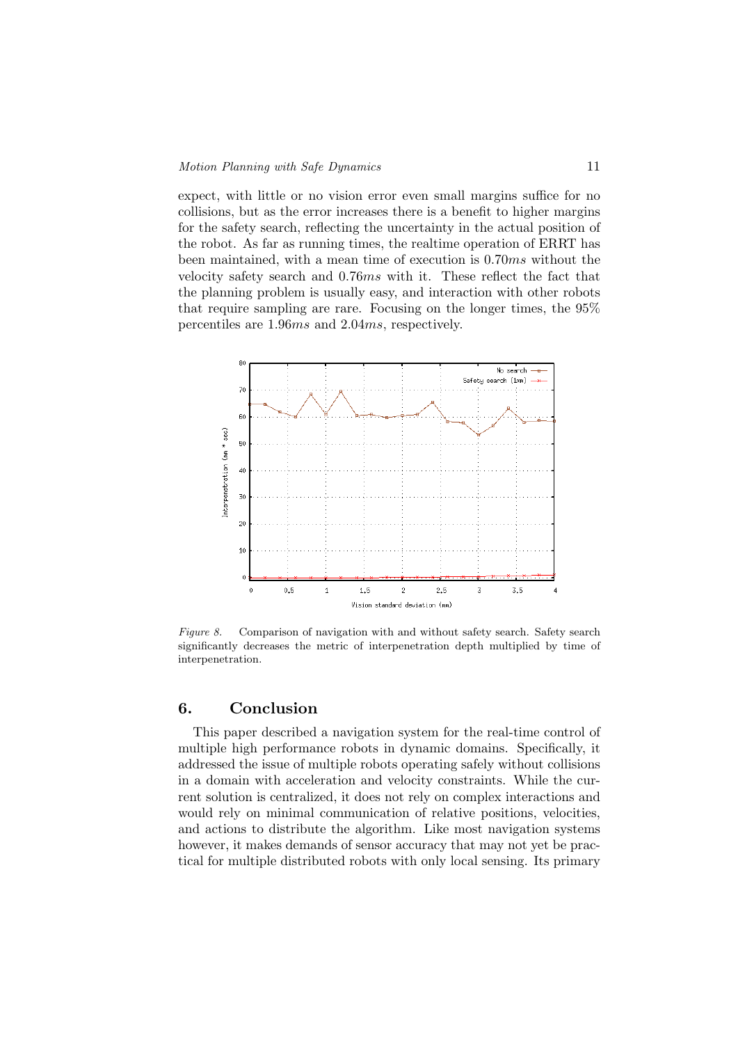expect, with little or no vision error even small margins suffice for no collisions, but as the error increases there is a benefit to higher margins for the safety search, reflecting the uncertainty in the actual position of the robot. As far as running times, the realtime operation of ERRT has been maintained, with a mean time of execution is 0.70ms without the velocity safety search and 0.76ms with it. These reflect the fact that the planning problem is usually easy, and interaction with other robots that require sampling are rare. Focusing on the longer times, the 95% percentiles are 1.96ms and 2.04ms, respectively.



Figure 8. Comparison of navigation with and without safety search. Safety search significantly decreases the metric of interpenetration depth multiplied by time of interpenetration.

# 6. Conclusion

This paper described a navigation system for the real-time control of multiple high performance robots in dynamic domains. Specifically, it addressed the issue of multiple robots operating safely without collisions in a domain with acceleration and velocity constraints. While the current solution is centralized, it does not rely on complex interactions and would rely on minimal communication of relative positions, velocities, and actions to distribute the algorithm. Like most navigation systems however, it makes demands of sensor accuracy that may not yet be practical for multiple distributed robots with only local sensing. Its primary